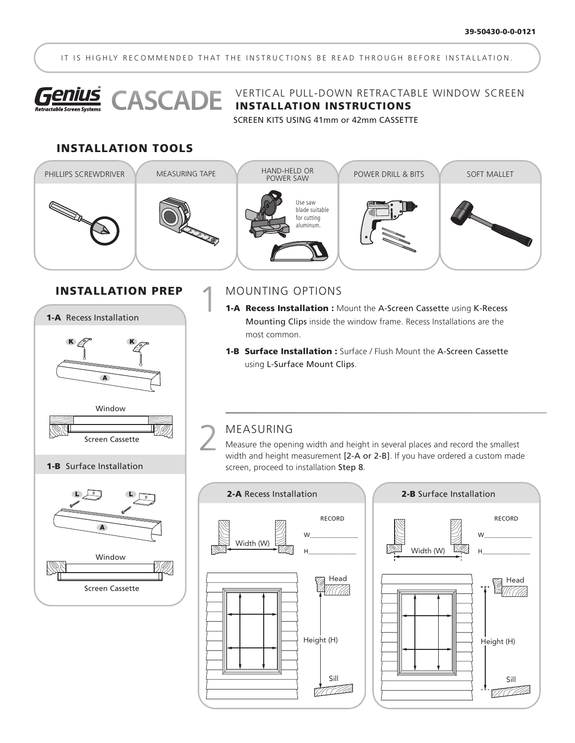IT IS HIGHLY RECOMMENDED THAT THE INSTRUCTIONS BE READ THROUGH BEFORE INSTALLATION.



**Genius** CASCADE VERTICAL PULL-DOWN RETRACTABLE WINDOW SCREEN

SCREEN KITS USING 41mm or 42mm CASSETTE

#### INSTALLATION TOOLS



#### INSTALLATION PREP



Screen Cassette

## 1

MOUNTING OPTIONS

- 1-A Recess Installation : Mount the A-Screen Cassette using K-Recess Mounting Clips inside the window frame. Recess Installations are the most common.
- **1-B Surface Installation :** Surface / Flush Mount the A-Screen Cassette using L-Surface Mount Clips.

#### MEASURING 2

Measure the opening width and height in several places and record the smallest width and height measurement [2-A or 2-B]. If you have ordered a custom made screen, proceed to installation Step 8.



### RECORD W\_\_\_\_\_\_\_\_\_\_\_\_\_\_\_\_ Width (W) H\_\_\_\_\_\_\_\_\_\_\_\_\_\_\_\_ **M** Head<br>AM (777 Height (H) Sill <u>TI TITA</u>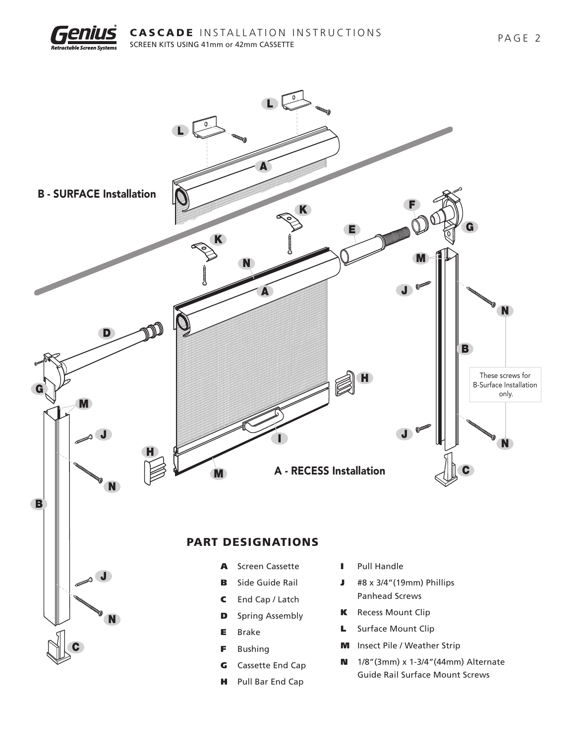

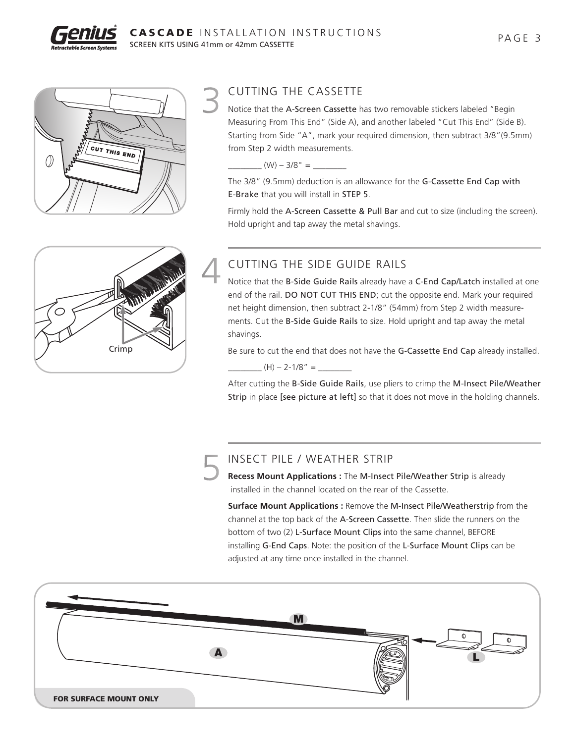



#### CUTTING THE CASSETTE 3

Notice that the A-Screen Cassette has two removable stickers labeled "Begin Measuring From This End" (Side A), and another labeled "Cut This End" (Side B). Starting from Side "A", mark your required dimension, then subtract 3/8"(9.5mm) from Step 2 width measurements.

 $(W) - 3/8" =$ 

The 3/8" (9.5mm) deduction is an allowance for the G-Cassette End Cap with E-Brake that you will install in STEP 5.

Firmly hold the A-Screen Cassette & Pull Bar and cut to size (including the screen). Hold upright and tap away the metal shavings.



#### CUTTING THE SIDE GUIDE RAILS

Notice that the B-Side Guide Rails already have a C-End Cap/Latch installed at one end of the rail. DO NOT CUT THIS END; cut the opposite end. Mark your required net height dimension, then subtract 2-1/8" (54mm) from Step 2 width measurements. Cut the B-Side Guide Rails to size. Hold upright and tap away the metal shavings.

Be sure to cut the end that does not have the G-Cassette End Cap already installed.

 $_{-}$  (H) – 2-1/8" =  $_{-}$ 

After cutting the B-Side Guide Rails, use pliers to crimp the M-Insect Pile/Weather Strip in place [see picture at left] so that it does not move in the holding channels.

#### INSECT PILE / WEATHER STRIP 5

**Recess Mount Applications :** The M-Insect Pile/Weather Strip is already installed in the channel located on the rear of the Cassette.

**Surface Mount Applications :** Remove the M-Insect Pile/Weatherstrip from the channel at the top back of the A-Screen Cassette. Then slide the runners on the bottom of two (2) L-Surface Mount Clips into the same channel, BEFORE installing G-End Caps. Note: the position of the L-Surface Mount Clips can be adjusted at any time once installed in the channel.

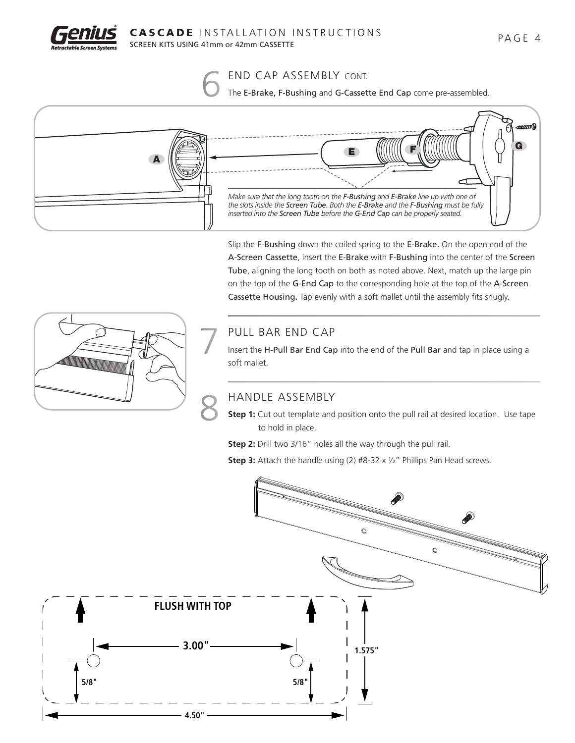



The E-Brake, F-Bushing and G-Cassette End Cap come pre-assembled.



Slip the F-Bushing down the coiled spring to the E-Brake. On the open end of the A-Screen Cassette, insert the E-Brake with F-Bushing into the center of the Screen Tube, aligning the long tooth on both as noted above. Next, match up the large pin on the top of the G-End Cap to the corresponding hole at the top of the A-Screen Cassette Housing**.** Tap evenly with a soft mallet until the assembly fits snugly.



#### PULL BAR END CAP

Insert the H-Pull Bar End Cap into the end of the Pull Bar and tap in place using a soft mallet.

#### HANDLE ASSEMBLY

**Step 1:** Cut out template and position onto the pull rail at desired location. Use tape to hold in place.

**Step 2:** Drill two 3/16" holes all the way through the pull rail.

**Step 3:** Attach the handle using (2) #8-32 x 1/2" Phillips Pan Head screws.

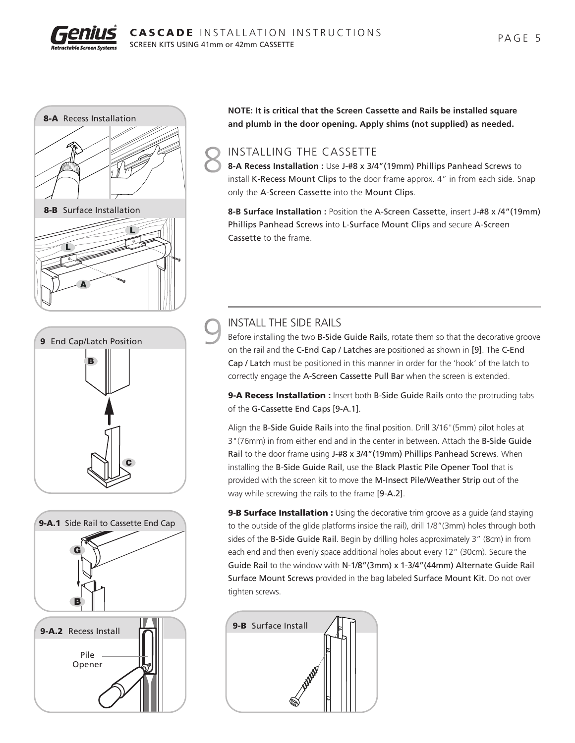



**NOTE: It is critical that the Screen Cassette and Rails be installed square and plumb in the door opening. Apply shims (not supplied) as needed.** 8-A Recess Installation

#### INSTALLING THE CASSETTE 8

**8-A Recess Installation :** Use J-#8 x 3/4"(19mm) Phillips Panhead Screws to install K-Recess Mount Clips to the door frame approx. 4" in from each side. Snap only the A-Screen Cassette into the Mount Clips.

**8-B Surface Installation :** Position the A-Screen Cassette, insert J-#8 x /4"(19mm) Phillips Panhead Screws into L-Surface Mount Clips and secure A-Screen Cassette to the frame.

# C B 9 End Cap/Latch Position



#### INSTALL THE SIDE RAILS 9

Before installing the two B-Side Guide Rails, rotate them so that the decorative groove on the rail and the C-End Cap / Latches are positioned as shown in [9]. The C-End Cap / Latch must be positioned in this manner in order for the 'hook' of the latch to correctly engage the A-Screen Cassette Pull Bar when the screen is extended.

9-A Recess Installation : Insert both B-Side Guide Rails onto the protruding tabs of the G-Cassette End Caps [9-A.1].

Align the B-Side Guide Rails into the final position. Drill 3/16"(5mm) pilot holes at 3"(76mm) in from either end and in the center in between. Attach the B-Side Guide Rail to the door frame using J-#8 x 3/4"(19mm) Phillips Panhead Screws. When installing the B-Side Guide Rail, use the Black Plastic Pile Opener Tool that is provided with the screen kit to move the M-Insect Pile/Weather Strip out of the way while screwing the rails to the frame [9-A.2].

**9-B Surface Installation :** Using the decorative trim groove as a guide (and staying to the outside of the glide platforms inside the rail), drill 1/8"(3mm) holes through both sides of the B-Side Guide Rail. Begin by drilling holes approximately 3" (8cm) in from each end and then evenly space additional holes about every 12" (30cm). Secure the Guide Rail to the window with N-1/8"(3mm) x 1-3/4"(44mm) Alternate Guide Rail Surface Mount Screws provided in the bag labeled Surface Mount Kit. Do not over tighten screws.